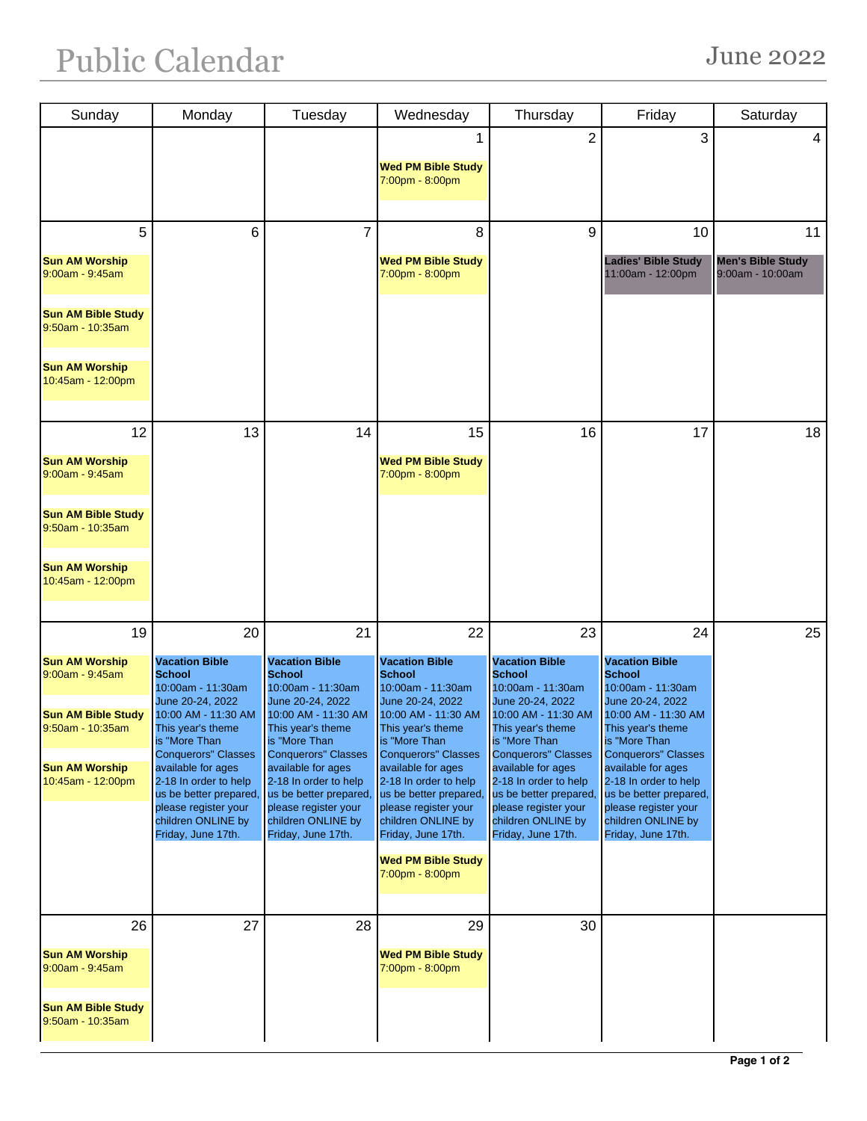| Sunday                                           | Monday                                                                                                              | Tuesday                                                                                                             | Wednesday                                                                                                          | Thursday                                                                                                            | Friday                                                                                                              | Saturday                                     |
|--------------------------------------------------|---------------------------------------------------------------------------------------------------------------------|---------------------------------------------------------------------------------------------------------------------|--------------------------------------------------------------------------------------------------------------------|---------------------------------------------------------------------------------------------------------------------|---------------------------------------------------------------------------------------------------------------------|----------------------------------------------|
|                                                  |                                                                                                                     |                                                                                                                     | <b>Wed PM Bible Study</b>                                                                                          | $\overline{2}$                                                                                                      | 3                                                                                                                   | 4                                            |
|                                                  |                                                                                                                     |                                                                                                                     | 7:00pm - 8:00pm                                                                                                    |                                                                                                                     |                                                                                                                     |                                              |
| 5                                                | 6                                                                                                                   | 7                                                                                                                   | 8                                                                                                                  | 9                                                                                                                   | 10                                                                                                                  | 11                                           |
| <b>Sun AM Worship</b><br>$9:00$ am - $9:45$ am   |                                                                                                                     |                                                                                                                     | <b>Wed PM Bible Study</b><br>7:00pm - 8:00pm                                                                       |                                                                                                                     | <b>Ladies' Bible Study</b><br>11:00am - 12:00pm                                                                     | <b>Men's Bible Study</b><br>9:00am - 10:00am |
| <b>Sun AM Bible Study</b><br>9:50am - 10:35am    |                                                                                                                     |                                                                                                                     |                                                                                                                    |                                                                                                                     |                                                                                                                     |                                              |
| <b>Sun AM Worship</b><br>10:45am - 12:00pm       |                                                                                                                     |                                                                                                                     |                                                                                                                    |                                                                                                                     |                                                                                                                     |                                              |
| 12                                               | 13                                                                                                                  | 14                                                                                                                  | 15                                                                                                                 | 16                                                                                                                  | 17                                                                                                                  | 18                                           |
| <b>Sun AM Worship</b><br>9:00am - 9:45am         |                                                                                                                     |                                                                                                                     | <b>Wed PM Bible Study</b><br>7:00pm - 8:00pm                                                                       |                                                                                                                     |                                                                                                                     |                                              |
| <b>Sun AM Bible Study</b><br>9:50am - 10:35am    |                                                                                                                     |                                                                                                                     |                                                                                                                    |                                                                                                                     |                                                                                                                     |                                              |
| <b>Sun AM Worship</b><br>10:45am - 12:00pm       |                                                                                                                     |                                                                                                                     |                                                                                                                    |                                                                                                                     |                                                                                                                     |                                              |
| 19                                               | 20                                                                                                                  | 21                                                                                                                  | 22                                                                                                                 | 23                                                                                                                  | 24                                                                                                                  | 25                                           |
| <b>Sun AM Worship</b><br>9:00am - 9:45am         | <b>Vacation Bible</b><br><b>School</b><br>10:00am - 11:30am                                                         | <b>Vacation Bible</b><br><b>School</b><br>10:00am - 11:30am                                                         | <b>Vacation Bible</b><br><b>School</b><br>10:00am - 11:30am                                                        | <b>Vacation Bible</b><br><b>School</b><br>10:00am - 11:30am                                                         | <b>Vacation Bible</b><br><b>School</b><br>10:00am - 11:30am                                                         |                                              |
| <b>Sun AM Bible Study</b><br>$9:50$ am - 10:35am | June 20-24, 2022<br>10:00 AM - 11:30 AM<br>This year's theme<br>is "More Than<br><b>Conquerors" Classes</b>         | June 20-24, 2022<br>10:00 AM - 11:30 AM<br>This year's theme<br>is "More Than<br>Conquerors" Classes                | June 20-24, 2022<br>10:00 AM - 11:30 AM<br>This year's theme<br>is "More Than<br><b>Conquerors" Classes</b>        | June 20-24, 2022<br>10:00 AM - 11:30 AM<br>This year's theme<br>is "More Than<br><b>Conquerors" Classes</b>         | June 20-24, 2022<br>10:00 AM - 11:30 AM<br>This year's theme<br>is "More Than<br><b>Conquerors</b> " Classes        |                                              |
| <b>Sun AM Worship</b><br>10:45am - 12:00pm       | available for ages<br>2-18 In order to help<br>us be better prepared,<br>please register your<br>children ONLINE by | available for ages<br>2-18 In order to help<br>us be better prepared,<br>please register your<br>children ONLINE by | available for ages<br>2-18 In order to help<br>us be better prepared<br>please register your<br>children ONLINE by | available for ages<br>2-18 In order to help<br>us be better prepared,<br>please register your<br>children ONLINE by | available for ages<br>2-18 In order to help<br>us be better prepared,<br>please register your<br>children ONLINE by |                                              |
|                                                  | Friday, June 17th.                                                                                                  | Friday, June 17th.                                                                                                  | Friday, June 17th.                                                                                                 | Friday, June 17th.                                                                                                  | Friday, June 17th.                                                                                                  |                                              |
|                                                  |                                                                                                                     |                                                                                                                     | <b>Wed PM Bible Study</b><br>7:00pm - 8:00pm                                                                       |                                                                                                                     |                                                                                                                     |                                              |
| 26                                               | 27                                                                                                                  | 28                                                                                                                  | 29                                                                                                                 | 30                                                                                                                  |                                                                                                                     |                                              |
| <b>Sun AM Worship</b><br>$9:00am - 9:45am$       |                                                                                                                     |                                                                                                                     | <b>Wed PM Bible Study</b><br>7:00pm - 8:00pm                                                                       |                                                                                                                     |                                                                                                                     |                                              |
| <b>Sun AM Bible Study</b><br>9:50am - 10:35am    |                                                                                                                     |                                                                                                                     |                                                                                                                    |                                                                                                                     |                                                                                                                     |                                              |